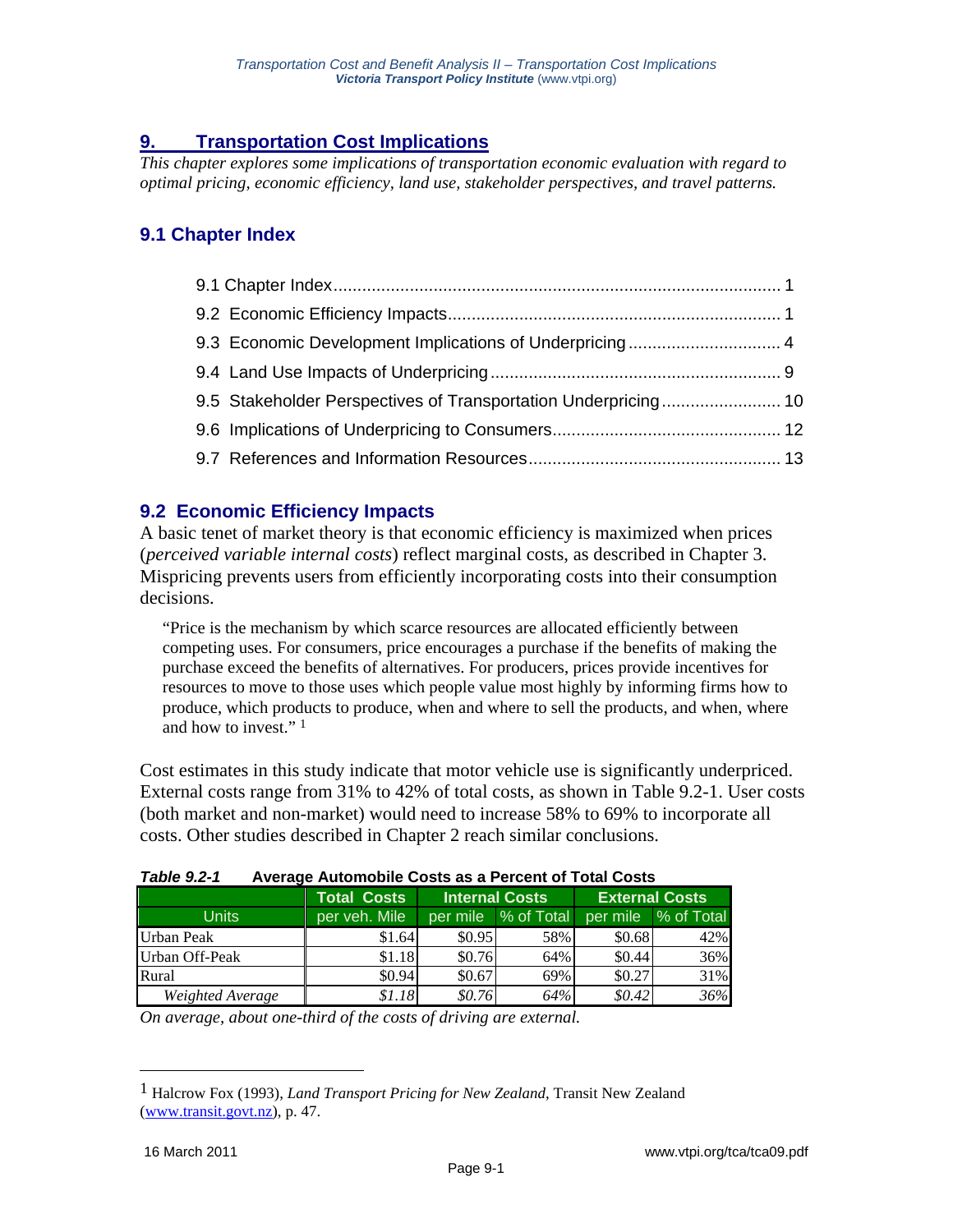# **9. Transportation Cost Implications**

*This chapter explores some implications of transportation economic evaluation with regard to optimal pricing, economic efficiency, land use, stakeholder perspectives, and travel patterns.* 

# **9.1 Chapter Index**

| 9.5 Stakeholder Perspectives of Transportation Underpricing 10 |  |
|----------------------------------------------------------------|--|
|                                                                |  |
|                                                                |  |
|                                                                |  |

### **9.2 Economic Efficiency Impacts**

A basic tenet of market theory is that economic efficiency is maximized when prices (*perceived variable internal costs*) reflect marginal costs, as described in Chapter 3. Mispricing prevents users from efficiently incorporating costs into their consumption decisions.

"Price is the mechanism by which scarce resources are allocated efficiently between competing uses. For consumers, price encourages a purchase if the benefits of making the purchase exceed the benefits of alternatives. For producers, prices provide incentives for resources to move to those uses which people value most highly by informing firms how to produce, which products to produce, when and where to sell the products, and when, where and how to invest." 1

Cost estimates in this study indicate that motor vehicle use is significantly underpriced. External costs range from 31% to 42% of total costs, as shown in Table 9.2-1. User costs (both market and non-market) would need to increase 58% to 69% to incorporate all costs. Other studies described in Chapter 2 reach similar conclusions.

| 1 diule 9.2-1<br>Average Automobile Costs as a Percent of Total Costs |                    |                       |                     |          |                       |
|-----------------------------------------------------------------------|--------------------|-----------------------|---------------------|----------|-----------------------|
|                                                                       | <b>Total Costs</b> | <b>Internal Costs</b> |                     |          | <b>External Costs</b> |
| <b>Units</b>                                                          | per veh. Mile      |                       | per mile % of Total |          | per mile % of Total   |
| <b>Urban Peak</b>                                                     | \$1.64             | \$0.95                | 58%                 | \$0.68   | 42%                   |
| Urban Off-Peak                                                        | \$1.18             | \$0.76                | 64%                 | \$0.44   | 36%                   |
| Rural                                                                 | \$0.94             | \$0.67                | 69%                 | \$0.27   | 31%                   |
| Weighted Average                                                      | \$1.18             | \$0.76                | 64%                 | \$0.42\$ | 36%                   |

# *Table 9.2-1* **Average Automobile Costs as a Percent of Total Costs**

*On average, about one-third of the costs of driving are external.* 

<sup>1</sup> Halcrow Fox (1993), *Land Transport Pricing for New Zealand*, Transit New Zealand (www.transit.govt.nz), p. 47.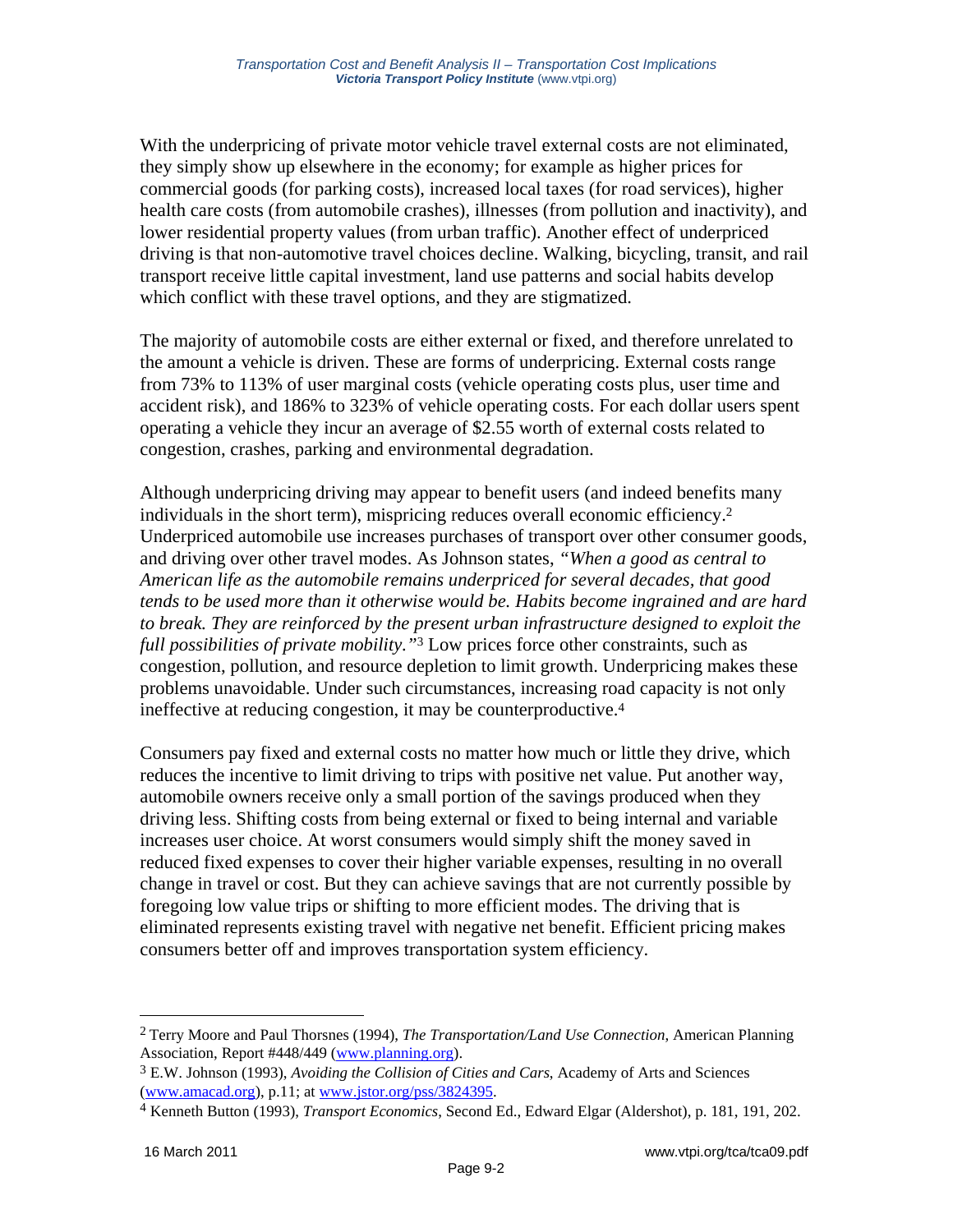With the underpricing of private motor vehicle travel external costs are not eliminated, they simply show up elsewhere in the economy; for example as higher prices for commercial goods (for parking costs), increased local taxes (for road services), higher health care costs (from automobile crashes), illnesses (from pollution and inactivity), and lower residential property values (from urban traffic). Another effect of underpriced driving is that non-automotive travel choices decline. Walking, bicycling, transit, and rail transport receive little capital investment, land use patterns and social habits develop which conflict with these travel options, and they are stigmatized.

The majority of automobile costs are either external or fixed, and therefore unrelated to the amount a vehicle is driven. These are forms of underpricing. External costs range from 73% to 113% of user marginal costs (vehicle operating costs plus, user time and accident risk), and 186% to 323% of vehicle operating costs. For each dollar users spent operating a vehicle they incur an average of \$2.55 worth of external costs related to congestion, crashes, parking and environmental degradation.

Although underpricing driving may appear to benefit users (and indeed benefits many individuals in the short term), mispricing reduces overall economic efficiency.2 Underpriced automobile use increases purchases of transport over other consumer goods, and driving over other travel modes. As Johnson states, *"When a good as central to American life as the automobile remains underpriced for several decades, that good tends to be used more than it otherwise would be. Habits become ingrained and are hard to break. They are reinforced by the present urban infrastructure designed to exploit the full possibilities of private mobility."*3 Low prices force other constraints, such as congestion, pollution, and resource depletion to limit growth. Underpricing makes these problems unavoidable. Under such circumstances, increasing road capacity is not only ineffective at reducing congestion, it may be counterproductive.4

Consumers pay fixed and external costs no matter how much or little they drive, which reduces the incentive to limit driving to trips with positive net value. Put another way, automobile owners receive only a small portion of the savings produced when they driving less. Shifting costs from being external or fixed to being internal and variable increases user choice. At worst consumers would simply shift the money saved in reduced fixed expenses to cover their higher variable expenses, resulting in no overall change in travel or cost. But they can achieve savings that are not currently possible by foregoing low value trips or shifting to more efficient modes. The driving that is eliminated represents existing travel with negative net benefit. Efficient pricing makes consumers better off and improves transportation system efficiency.

<sup>2</sup> Terry Moore and Paul Thorsnes (1994), *The Transportation/Land Use Connection*, American Planning Association, Report #448/449 (www.planning.org).

<sup>3</sup> E.W. Johnson (1993), *Avoiding the Collision of Cities and Cars*, Academy of Arts and Sciences

<sup>(</sup>www.amacad.org), p.11; at www.jstor.org/pss/3824395. 4 Kenneth Button (1993), *Transport Economics*, Second Ed., Edward Elgar (Aldershot), p. 181, 191, 202.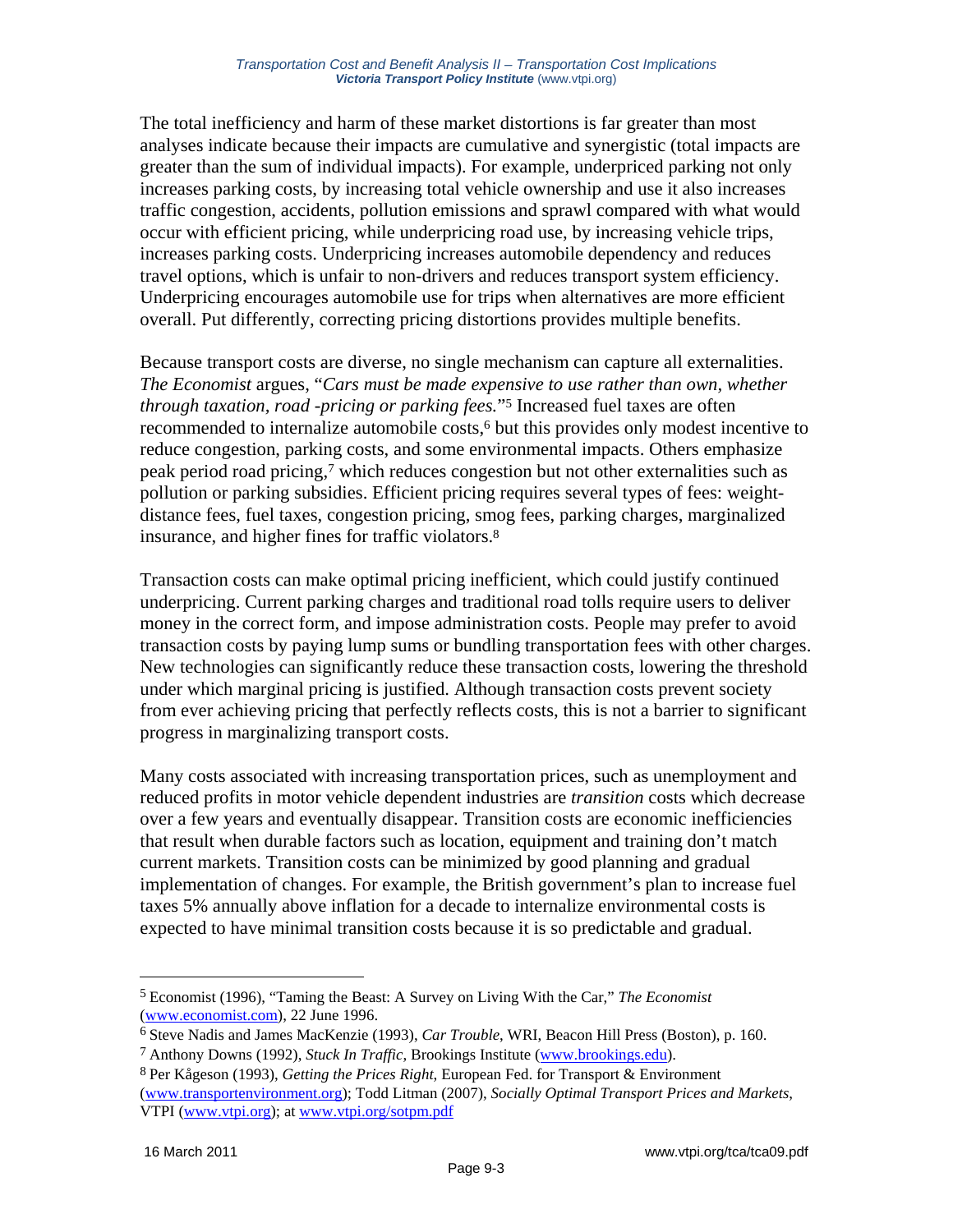The total inefficiency and harm of these market distortions is far greater than most analyses indicate because their impacts are cumulative and synergistic (total impacts are greater than the sum of individual impacts). For example, underpriced parking not only increases parking costs, by increasing total vehicle ownership and use it also increases traffic congestion, accidents, pollution emissions and sprawl compared with what would occur with efficient pricing, while underpricing road use, by increasing vehicle trips, increases parking costs. Underpricing increases automobile dependency and reduces travel options, which is unfair to non-drivers and reduces transport system efficiency. Underpricing encourages automobile use for trips when alternatives are more efficient overall. Put differently, correcting pricing distortions provides multiple benefits.

Because transport costs are diverse, no single mechanism can capture all externalities. *The Economist* argues, "*Cars must be made expensive to use rather than own, whether through taxation, road -pricing or parking fees.*"5 Increased fuel taxes are often recommended to internalize automobile costs,<sup>6</sup> but this provides only modest incentive to reduce congestion, parking costs, and some environmental impacts. Others emphasize peak period road pricing,7 which reduces congestion but not other externalities such as pollution or parking subsidies. Efficient pricing requires several types of fees: weightdistance fees, fuel taxes, congestion pricing, smog fees, parking charges, marginalized insurance, and higher fines for traffic violators.8

Transaction costs can make optimal pricing inefficient, which could justify continued underpricing. Current parking charges and traditional road tolls require users to deliver money in the correct form, and impose administration costs. People may prefer to avoid transaction costs by paying lump sums or bundling transportation fees with other charges. New technologies can significantly reduce these transaction costs, lowering the threshold under which marginal pricing is justified. Although transaction costs prevent society from ever achieving pricing that perfectly reflects costs, this is not a barrier to significant progress in marginalizing transport costs.

Many costs associated with increasing transportation prices, such as unemployment and reduced profits in motor vehicle dependent industries are *transition* costs which decrease over a few years and eventually disappear. Transition costs are economic inefficiencies that result when durable factors such as location, equipment and training don't match current markets. Transition costs can be minimized by good planning and gradual implementation of changes. For example, the British government's plan to increase fuel taxes 5% annually above inflation for a decade to internalize environmental costs is expected to have minimal transition costs because it is so predictable and gradual.

<sup>5</sup> Economist (1996), "Taming the Beast: A Survey on Living With the Car," *The Economist*  (www.economist.com), 22 June 1996.

<sup>6</sup> Steve Nadis and James MacKenzie (1993), *Car Trouble*, WRI, Beacon Hill Press (Boston), p. 160.

<sup>7</sup> Anthony Downs (1992), *Stuck In Traffic*, Brookings Institute (www.brookings.edu).

<sup>8</sup> Per Kågeson (1993), *Getting the Prices Right*, European Fed. for Transport & Environment (www.transportenvironment.org); Todd Litman (2007), *Socially Optimal Transport Prices and Markets*, VTPI (www.vtpi.org); at www.vtpi.org/sotpm.pdf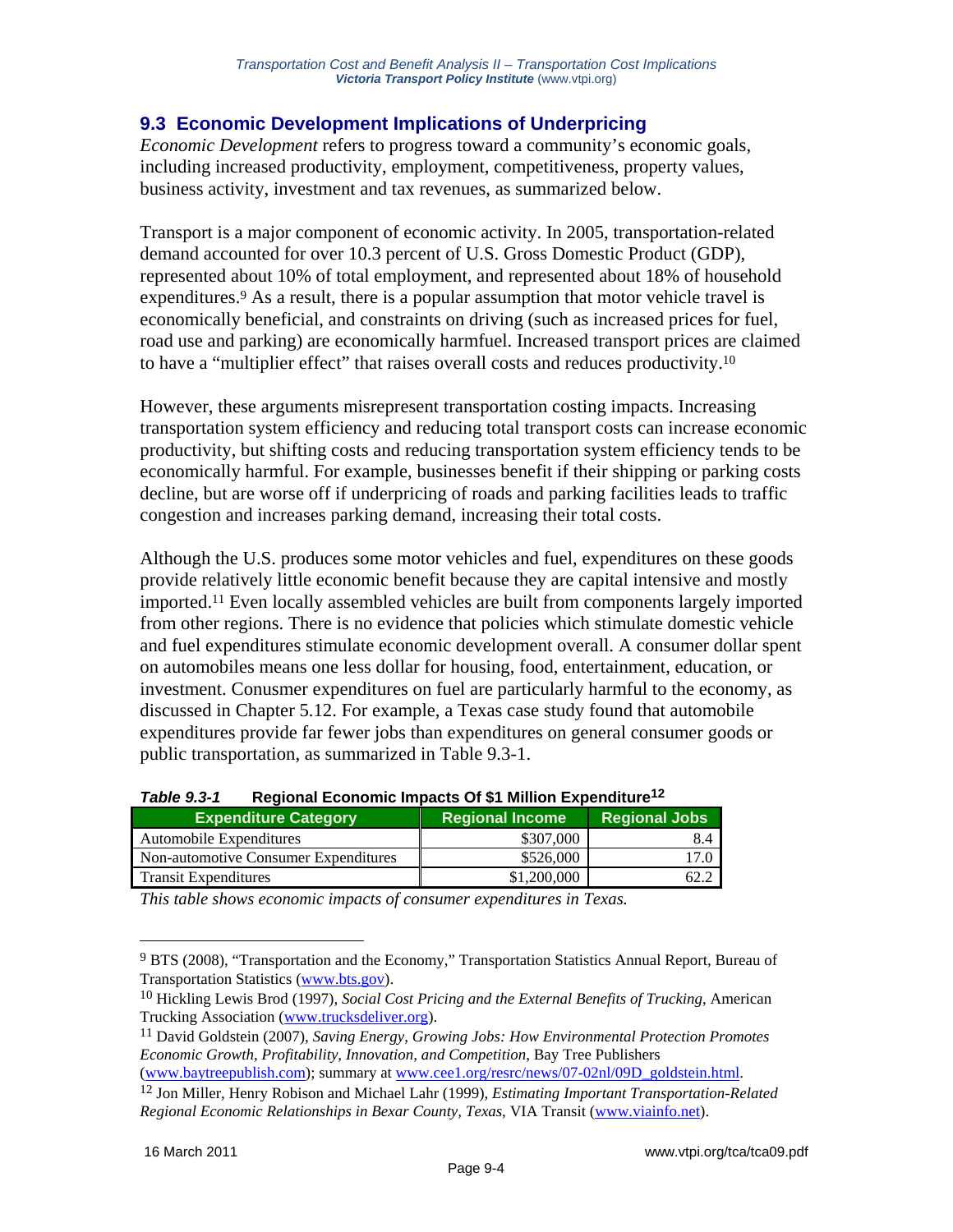### **9.3 Economic Development Implications of Underpricing**

*Economic Development* refers to progress toward a community's economic goals, including increased productivity, employment, competitiveness, property values, business activity, investment and tax revenues, as summarized below.

Transport is a major component of economic activity. In 2005, transportation-related demand accounted for over 10.3 percent of U.S. Gross Domestic Product (GDP), represented about 10% of total employment, and represented about 18% of household expenditures.<sup>9</sup> As a result, there is a popular assumption that motor vehicle travel is economically beneficial, and constraints on driving (such as increased prices for fuel, road use and parking) are economically harmfuel. Increased transport prices are claimed to have a "multiplier effect" that raises overall costs and reduces productivity.10

However, these arguments misrepresent transportation costing impacts. Increasing transportation system efficiency and reducing total transport costs can increase economic productivity, but shifting costs and reducing transportation system efficiency tends to be economically harmful. For example, businesses benefit if their shipping or parking costs decline, but are worse off if underpricing of roads and parking facilities leads to traffic congestion and increases parking demand, increasing their total costs.

Although the U.S. produces some motor vehicles and fuel, expenditures on these goods provide relatively little economic benefit because they are capital intensive and mostly imported.11 Even locally assembled vehicles are built from components largely imported from other regions. There is no evidence that policies which stimulate domestic vehicle and fuel expenditures stimulate economic development overall. A consumer dollar spent on automobiles means one less dollar for housing, food, entertainment, education, or investment. Conusmer expenditures on fuel are particularly harmful to the economy, as discussed in Chapter 5.12. For example, a Texas case study found that automobile expenditures provide far fewer jobs than expenditures on general consumer goods or public transportation, as summarized in Table 9.3-1.

| <b>Expenditure Category</b>          | <b>Regional Income</b> | <b>Regional Jobs</b> |  |  |
|--------------------------------------|------------------------|----------------------|--|--|
| Automobile Expenditures              | \$307,000              | 8.4                  |  |  |
| Non-automotive Consumer Expenditures | \$526,000              | 17.0                 |  |  |
| <b>Transit Expenditures</b>          | \$1,200,000            | 62.7                 |  |  |

| <b>Table 9.3-1</b> | Regional Economic Impacts Of \$1 Million Expenditure <sup>12</sup> |
|--------------------|--------------------------------------------------------------------|
|--------------------|--------------------------------------------------------------------|

*This table shows economic impacts of consumer expenditures in Texas.* 

<sup>9</sup> BTS (2008), "Transportation and the Economy," Transportation Statistics Annual Report, Bureau of Transportation Statistics (www.bts.gov).

<sup>10</sup> Hickling Lewis Brod (1997), *Social Cost Pricing and the External Benefits of Trucking*, American Trucking Association (www.trucksdeliver.org).

<sup>11</sup> David Goldstein (2007), *Saving Energy, Growing Jobs: How Environmental Protection Promotes Economic Growth, Profitability, Innovation, and Competition*, Bay Tree Publishers

<sup>(</sup>www.baytreepublish.com); summary at www.cee1.org/resrc/news/07-02nl/09D\_goldstein.html. 12 Jon Miller, Henry Robison and Michael Lahr (1999), *Estimating Important Transportation-Related* 

*Regional Economic Relationships in Bexar County, Texas*, VIA Transit (www.viainfo.net).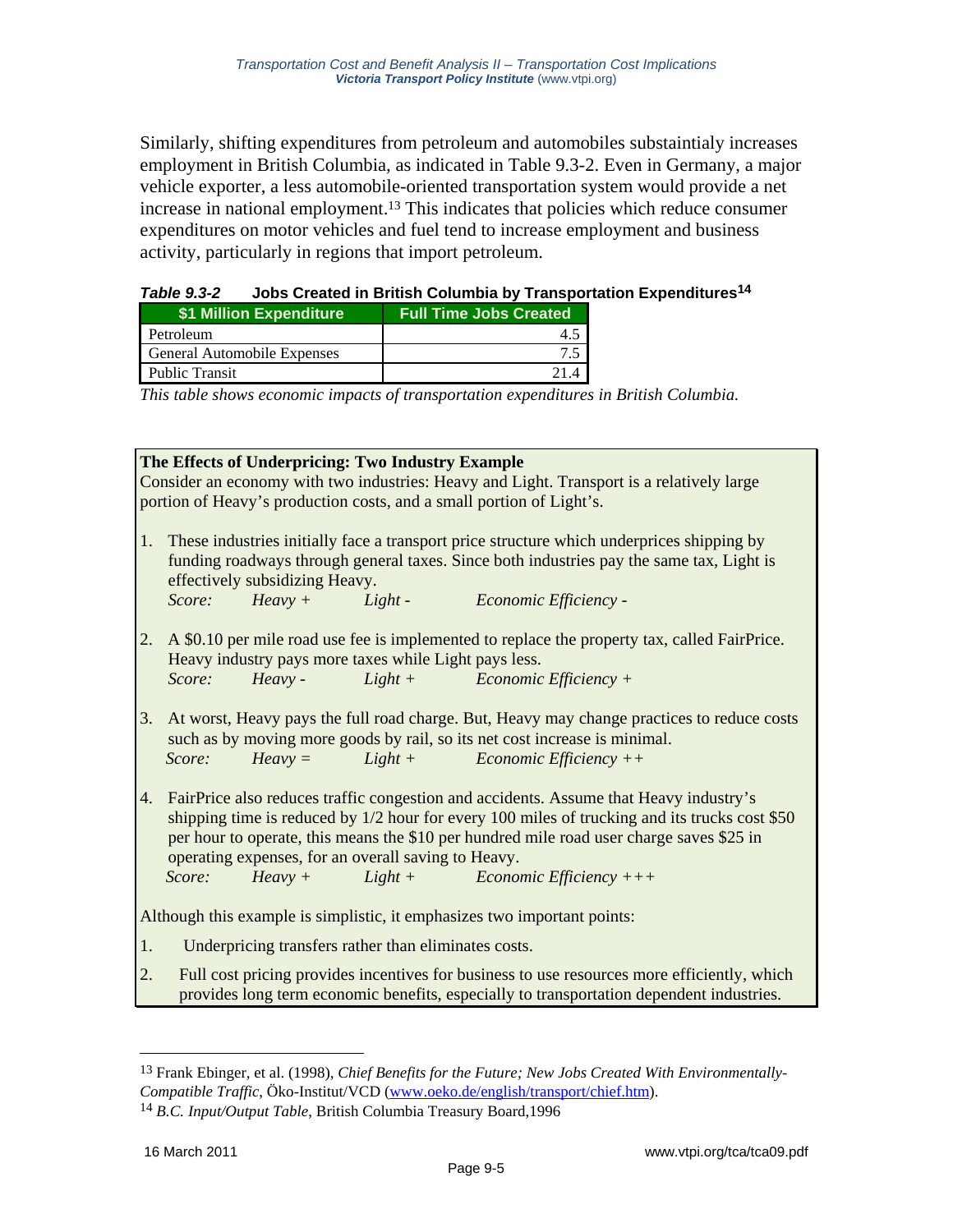Similarly, shifting expenditures from petroleum and automobiles substaintialy increases employment in British Columbia, as indicated in Table 9.3-2. Even in Germany, a major vehicle exporter, a less automobile-oriented transportation system would provide a net increase in national employment.<sup>13</sup> This indicates that policies which reduce consumer expenditures on motor vehicles and fuel tend to increase employment and business activity, particularly in regions that import petroleum.

#### *Table 9.3-2* **Jobs Created in British Columbia by Transportation Expenditures14**

| \$1 Million Expenditure     | <b>Full Time Jobs Created</b> |
|-----------------------------|-------------------------------|
| Petroleum                   | 4.5                           |
| General Automobile Expenses |                               |
| <b>Public Transit</b>       | 21.4                          |

*This table shows economic impacts of transportation expenditures in British Columbia.* 

| The Effects of Underpricing: Two Industry Example                        |                                                                                               |                                |                                                       |                                                                                              |  |
|--------------------------------------------------------------------------|-----------------------------------------------------------------------------------------------|--------------------------------|-------------------------------------------------------|----------------------------------------------------------------------------------------------|--|
|                                                                          | Consider an economy with two industries: Heavy and Light. Transport is a relatively large     |                                |                                                       |                                                                                              |  |
|                                                                          |                                                                                               |                                |                                                       | portion of Heavy's production costs, and a small portion of Light's.                         |  |
|                                                                          |                                                                                               |                                |                                                       |                                                                                              |  |
| 1.                                                                       |                                                                                               |                                |                                                       | These industries initially face a transport price structure which underprices shipping by    |  |
|                                                                          |                                                                                               |                                |                                                       | funding roadways through general taxes. Since both industries pay the same tax, Light is     |  |
|                                                                          |                                                                                               | effectively subsidizing Heavy. |                                                       |                                                                                              |  |
|                                                                          | Score:                                                                                        |                                |                                                       | Heavy + Light - Economic Efficiency -                                                        |  |
|                                                                          |                                                                                               |                                |                                                       |                                                                                              |  |
| 2.                                                                       |                                                                                               |                                |                                                       | A \$0.10 per mile road use fee is implemented to replace the property tax, called FairPrice. |  |
|                                                                          |                                                                                               |                                | Heavy industry pays more taxes while Light pays less. |                                                                                              |  |
|                                                                          | Score:                                                                                        |                                |                                                       | $Heavy - Light + Economic Efficiency +$                                                      |  |
|                                                                          |                                                                                               |                                |                                                       |                                                                                              |  |
| 3.                                                                       |                                                                                               |                                |                                                       | At worst, Heavy pays the full road charge. But, Heavy may change practices to reduce costs   |  |
|                                                                          |                                                                                               |                                |                                                       | such as by moving more goods by rail, so its net cost increase is minimal.                   |  |
|                                                                          | Score:                                                                                        |                                |                                                       | $Heavy =$ $Light +$ $Economic Efficiency ++$                                                 |  |
|                                                                          |                                                                                               |                                |                                                       |                                                                                              |  |
| 4.                                                                       | FairPrice also reduces traffic congestion and accidents. Assume that Heavy industry's         |                                |                                                       |                                                                                              |  |
|                                                                          | shipping time is reduced by 1/2 hour for every 100 miles of trucking and its trucks cost \$50 |                                |                                                       |                                                                                              |  |
|                                                                          | per hour to operate, this means the \$10 per hundred mile road user charge saves \$25 in      |                                |                                                       |                                                                                              |  |
|                                                                          | operating expenses, for an overall saving to Heavy.                                           |                                |                                                       |                                                                                              |  |
|                                                                          | Score:                                                                                        |                                |                                                       | $Heavy +$ $Light +$ $Economic Efficiency ++ +$                                               |  |
|                                                                          |                                                                                               |                                |                                                       |                                                                                              |  |
| Although this example is simplistic, it emphasizes two important points: |                                                                                               |                                |                                                       |                                                                                              |  |
| 1.                                                                       | Underpricing transfers rather than eliminates costs.                                          |                                |                                                       |                                                                                              |  |
| 2.                                                                       | Full cost pricing provides incentives for business to use resources more efficiently, which   |                                |                                                       |                                                                                              |  |
|                                                                          | provides long term economic benefits, especially to transportation dependent industries.      |                                |                                                       |                                                                                              |  |

 $\overline{a}$ 

<sup>13</sup> Frank Ebinger, et al. (1998), *Chief Benefits for the Future; New Jobs Created With Environmentally-Compatible Traffic*, Öko-Institut/VCD (www.oeko.de/english/transport/chief.htm).

<sup>14</sup> *B.C. Input/Output Table*, British Columbia Treasury Board,1996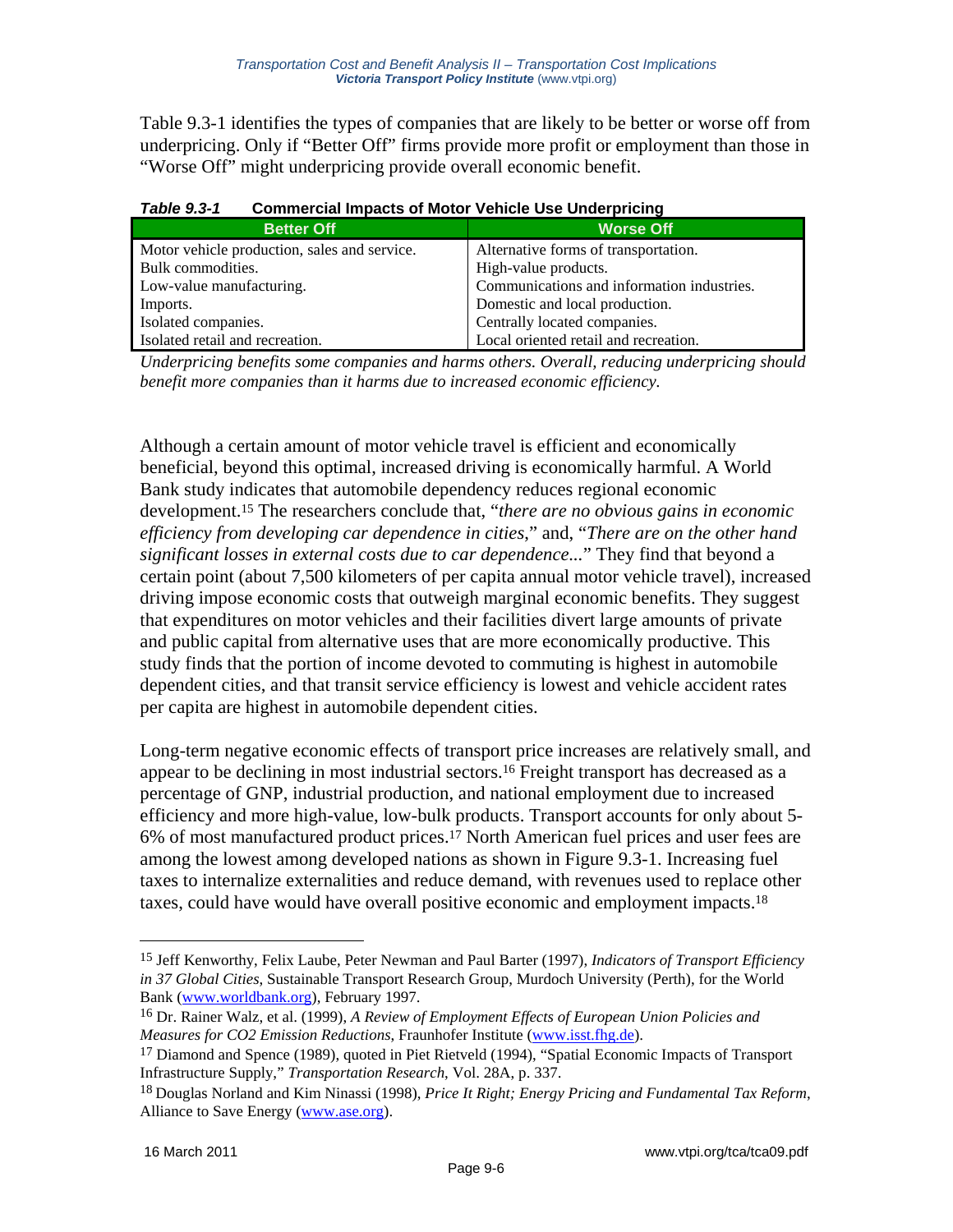Table 9.3-1 identifies the types of companies that are likely to be better or worse off from underpricing. Only if "Better Off" firms provide more profit or employment than those in "Worse Off" might underpricing provide overall economic benefit.

| ו -ט.ט סושום ו<br><b>Unimercial impacts of MOLUI Venicle USE Underpricing</b> |                                            |  |  |
|-------------------------------------------------------------------------------|--------------------------------------------|--|--|
| <b>Better Off</b>                                                             | <b>Worse Off</b>                           |  |  |
| Motor vehicle production, sales and service.                                  | Alternative forms of transportation.       |  |  |
| Bulk commodities.                                                             | High-value products.                       |  |  |
| Low-value manufacturing.                                                      | Communications and information industries. |  |  |
| Imports.                                                                      | Domestic and local production.             |  |  |
| Isolated companies.                                                           | Centrally located companies.               |  |  |
| Isolated retail and recreation.                                               | Local oriented retail and recreation.      |  |  |

#### *Table 9.3-1* **Commercial Impacts of Motor Vehicle Use Underpricing**

*Underpricing benefits some companies and harms others. Overall, reducing underpricing should benefit more companies than it harms due to increased economic efficiency.* 

Although a certain amount of motor vehicle travel is efficient and economically beneficial, beyond this optimal, increased driving is economically harmful. A World Bank study indicates that automobile dependency reduces regional economic development.15 The researchers conclude that, "*there are no obvious gains in economic efficiency from developing car dependence in cities*," and, "*There are on the other hand significant losses in external costs due to car dependence...*" They find that beyond a certain point (about 7,500 kilometers of per capita annual motor vehicle travel), increased driving impose economic costs that outweigh marginal economic benefits. They suggest that expenditures on motor vehicles and their facilities divert large amounts of private and public capital from alternative uses that are more economically productive. This study finds that the portion of income devoted to commuting is highest in automobile dependent cities, and that transit service efficiency is lowest and vehicle accident rates per capita are highest in automobile dependent cities.

Long-term negative economic effects of transport price increases are relatively small, and appear to be declining in most industrial sectors.16 Freight transport has decreased as a percentage of GNP, industrial production, and national employment due to increased efficiency and more high-value, low-bulk products. Transport accounts for only about 5- 6% of most manufactured product prices.17 North American fuel prices and user fees are among the lowest among developed nations as shown in Figure 9.3-1. Increasing fuel taxes to internalize externalities and reduce demand, with revenues used to replace other taxes, could have would have overall positive economic and employment impacts.18

1

<sup>15</sup> Jeff Kenworthy, Felix Laube, Peter Newman and Paul Barter (1997), *Indicators of Transport Efficiency in 37 Global Cities*, Sustainable Transport Research Group, Murdoch University (Perth), for the World Bank (www.worldbank.org), February 1997.

<sup>16</sup> Dr. Rainer Walz, et al. (1999), *A Review of Employment Effects of European Union Policies and Measures for CO2 Emission Reductions*, Fraunhofer Institute (www.isst.fhg.de).

<sup>&</sup>lt;sup>17</sup> Diamond and Spence (1989), quoted in Piet Rietveld (1994), "Spatial Economic Impacts of Transport Infrastructure Supply," *Transportation Research*, Vol. 28A, p. 337.

<sup>18</sup> Douglas Norland and Kim Ninassi (1998), *Price It Right; Energy Pricing and Fundamental Tax Reform*, Alliance to Save Energy (www.ase.org).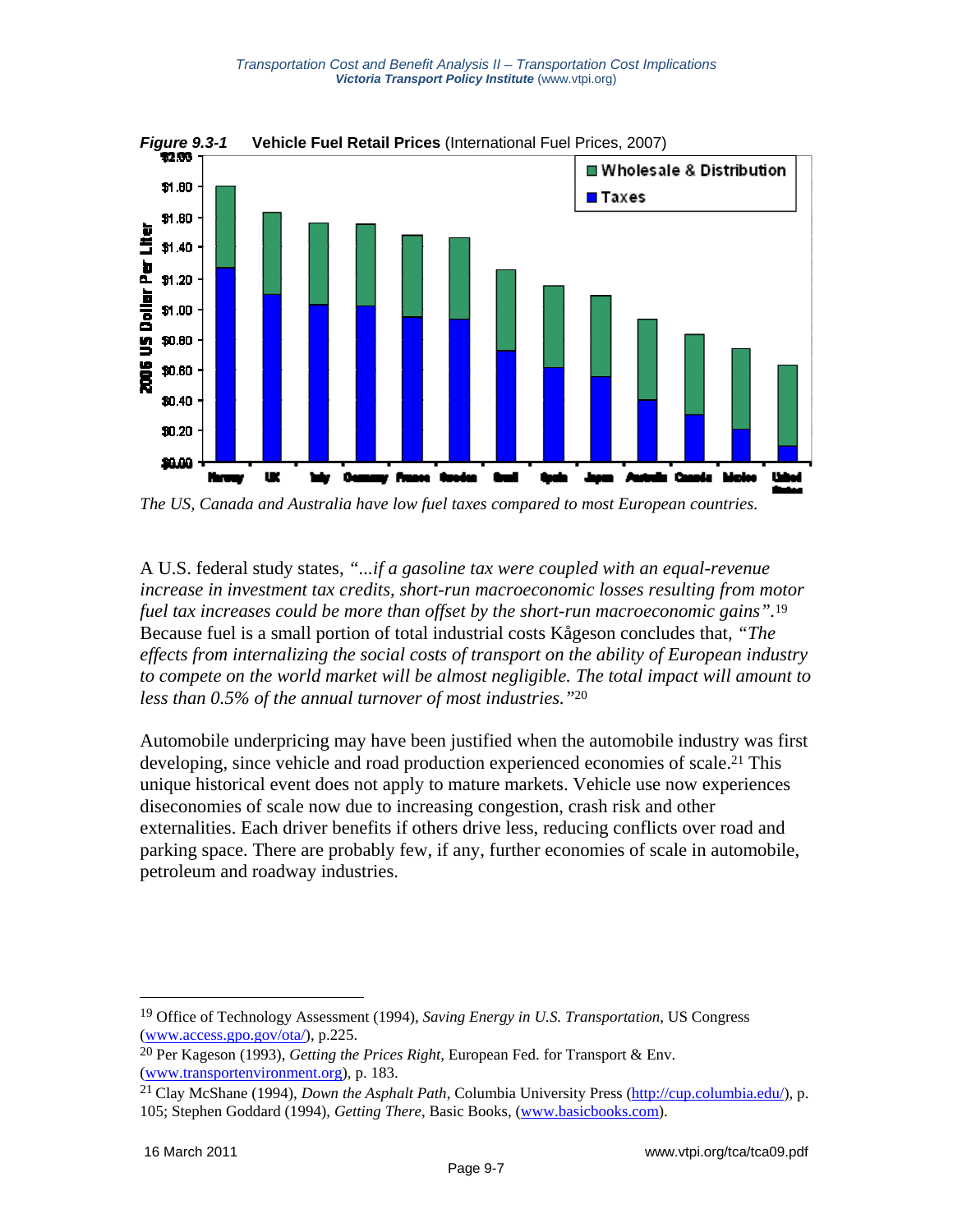

*Figure 9.3-1* **Vehicle Fuel Retail Prices** (International Fuel Prices, 2007)

*The US, Canada and Australia have low fuel taxes compared to most European countries.* 

A U.S. federal study states, *"...if a gasoline tax were coupled with an equal-revenue increase in investment tax credits, short-run macroeconomic losses resulting from motor fuel tax increases could be more than offset by the short-run macroeconomic gains".*<sup>19</sup> Because fuel is a small portion of total industrial costs Kågeson concludes that, *"The effects from internalizing the social costs of transport on the ability of European industry to compete on the world market will be almost negligible. The total impact will amount to less than 0.5% of the annual turnover of most industries."*20

Automobile underpricing may have been justified when the automobile industry was first developing, since vehicle and road production experienced economies of scale.<sup>21</sup> This unique historical event does not apply to mature markets. Vehicle use now experiences diseconomies of scale now due to increasing congestion, crash risk and other externalities. Each driver benefits if others drive less, reducing conflicts over road and parking space. There are probably few, if any, further economies of scale in automobile, petroleum and roadway industries.

<u>.</u>

<sup>19</sup> Office of Technology Assessment (1994), *Saving Energy in U.S. Transportation*, US Congress (www.access.gpo.gov/ota/), p.225.

<sup>20</sup> Per Kageson (1993), *Getting the Prices Right*, European Fed. for Transport & Env. (www.transportenvironment.org), p. 183.

<sup>21</sup> Clay McShane (1994), *Down the Asphalt Path*, Columbia University Press (http://cup.columbia.edu/), p. 105; Stephen Goddard (1994), *Getting There*, Basic Books, (www.basicbooks.com).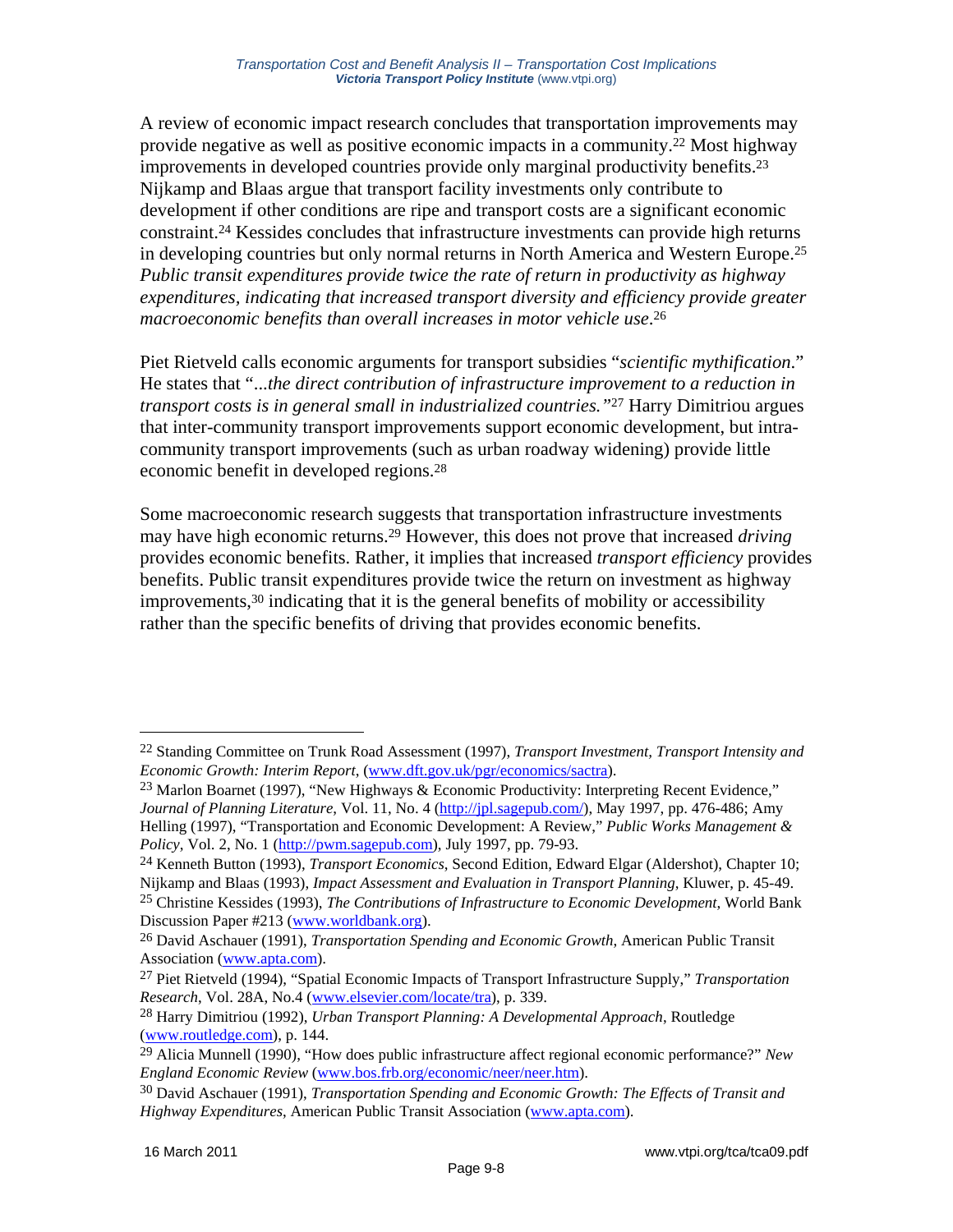A review of economic impact research concludes that transportation improvements may provide negative as well as positive economic impacts in a community.22 Most highway improvements in developed countries provide only marginal productivity benefits.23 Nijkamp and Blaas argue that transport facility investments only contribute to development if other conditions are ripe and transport costs are a significant economic constraint.24 Kessides concludes that infrastructure investments can provide high returns in developing countries but only normal returns in North America and Western Europe.25 *Public transit expenditures provide twice the rate of return in productivity as highway expenditures, indicating that increased transport diversity and efficiency provide greater macroeconomic benefits than overall increases in motor vehicle use*.26

Piet Rietveld calls economic arguments for transport subsidies "*scientific mythification*." He states that "...*the direct contribution of infrastructure improvement to a reduction in transport costs is in general small in industrialized countries."*27 Harry Dimitriou argues that inter-community transport improvements support economic development, but intracommunity transport improvements (such as urban roadway widening) provide little economic benefit in developed regions.28

Some macroeconomic research suggests that transportation infrastructure investments may have high economic returns.29 However, this does not prove that increased *driving* provides economic benefits. Rather, it implies that increased *transport efficiency* provides benefits. Public transit expenditures provide twice the return on investment as highway  $improvements, <sup>30</sup> indicating that it is the general benefits of mobility or accessibility$ rather than the specific benefits of driving that provides economic benefits.

<sup>22</sup> Standing Committee on Trunk Road Assessment (1997), *Transport Investment, Transport Intensity and Economic Growth: Interim Report*, (www.dft.gov.uk/pgr/economics/sactra).

<sup>&</sup>lt;sup>23</sup> Marlon Boarnet (1997), "New Highways & Economic Productivity: Interpreting Recent Evidence," *Journal of Planning Literature*, Vol. 11, No. 4 (http://jpl.sagepub.com/), May 1997, pp. 476-486; Amy Helling (1997), "Transportation and Economic Development: A Review," *Public Works Management & Policy*, Vol. 2, No. 1 (http://pwm.sagepub.com), July 1997, pp. 79-93.

<sup>24</sup> Kenneth Button (1993), *Transport Economics*, Second Edition, Edward Elgar (Aldershot), Chapter 10; Nijkamp and Blaas (1993), *Impact Assessment and Evaluation in Transport Planning*, Kluwer, p. 45-49.

<sup>25</sup> Christine Kessides (1993), *The Contributions of Infrastructure to Economic Development*, World Bank Discussion Paper #213 (www.worldbank.org).

<sup>26</sup> David Aschauer (1991), *Transportation Spending and Economic Growth*, American Public Transit Association (www.apta.com).

<sup>27</sup> Piet Rietveld (1994), "Spatial Economic Impacts of Transport Infrastructure Supply," *Transportation Research*, Vol. 28A, No.4 (www.elsevier.com/locate/tra), p. 339.

<sup>28</sup> Harry Dimitriou (1992), *Urban Transport Planning: A Developmental Approach*, Routledge (www.routledge.com), p. 144.

<sup>29</sup> Alicia Munnell (1990), "How does public infrastructure affect regional economic performance?" *New England Economic Review* (www.bos.frb.org/economic/neer/neer.htm).

<sup>30</sup> David Aschauer (1991), *Transportation Spending and Economic Growth: The Effects of Transit and Highway Expenditures*, American Public Transit Association (www.apta.com).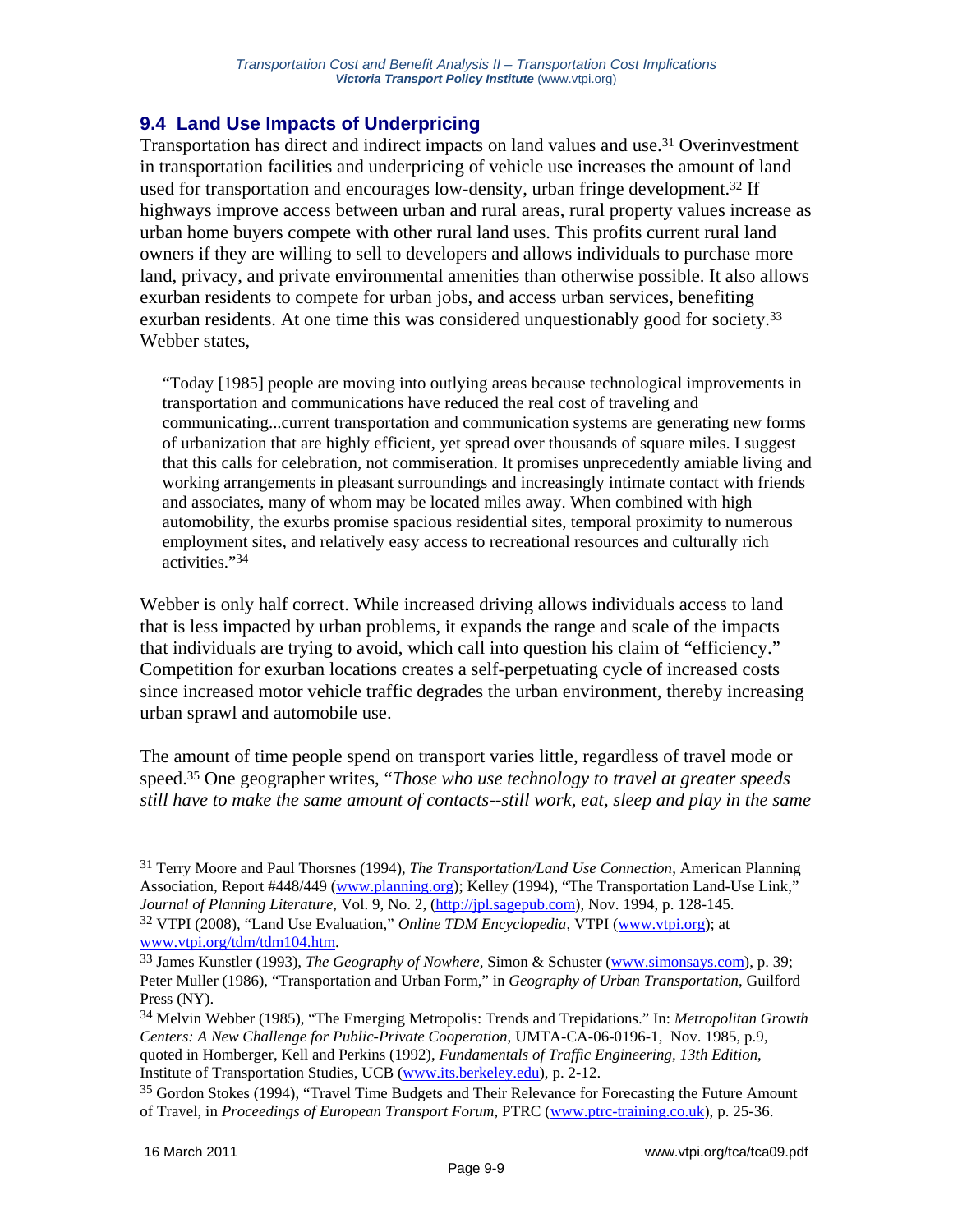# **9.4 Land Use Impacts of Underpricing**

Transportation has direct and indirect impacts on land values and use.31 Overinvestment in transportation facilities and underpricing of vehicle use increases the amount of land used for transportation and encourages low-density, urban fringe development.32 If highways improve access between urban and rural areas, rural property values increase as urban home buyers compete with other rural land uses. This profits current rural land owners if they are willing to sell to developers and allows individuals to purchase more land, privacy, and private environmental amenities than otherwise possible. It also allows exurban residents to compete for urban jobs, and access urban services, benefiting exurban residents. At one time this was considered unquestionably good for society.<sup>33</sup> Webber states,

"Today [1985] people are moving into outlying areas because technological improvements in transportation and communications have reduced the real cost of traveling and communicating...current transportation and communication systems are generating new forms of urbanization that are highly efficient, yet spread over thousands of square miles. I suggest that this calls for celebration, not commiseration. It promises unprecedently amiable living and working arrangements in pleasant surroundings and increasingly intimate contact with friends and associates, many of whom may be located miles away. When combined with high automobility, the exurbs promise spacious residential sites, temporal proximity to numerous employment sites, and relatively easy access to recreational resources and culturally rich activities."34

Webber is only half correct. While increased driving allows individuals access to land that is less impacted by urban problems, it expands the range and scale of the impacts that individuals are trying to avoid, which call into question his claim of "efficiency." Competition for exurban locations creates a self-perpetuating cycle of increased costs since increased motor vehicle traffic degrades the urban environment, thereby increasing urban sprawl and automobile use.

The amount of time people spend on transport varies little, regardless of travel mode or speed.35 One geographer writes, "*Those who use technology to travel at greater speeds still have to make the same amount of contacts--still work, eat, sleep and play in the same* 

<sup>31</sup> Terry Moore and Paul Thorsnes (1994), *The Transportation/Land Use Connection*, American Planning Association, Report #448/449 (www.planning.org); Kelley (1994), "The Transportation Land-Use Link," *Journal of Planning Literature*, Vol. 9, No. 2, (http://jpl.sagepub.com), Nov. 1994, p. 128-145. 32 VTPI (2008), "Land Use Evaluation," *Online TDM Encyclopedia*, VTPI (www.vtpi.org); at

www.vtpi.org/tdm/tdm104.htm.<br><sup>33</sup> James Kunstler (1993), *The Geography of Nowhere*, Simon & Schuster (www.simonsays.com), p. 39; Peter Muller (1986), "Transportation and Urban Form," in *Geography of Urban Transportation*, Guilford Press (NY).

<sup>34</sup> Melvin Webber (1985), "The Emerging Metropolis: Trends and Trepidations." In: *Metropolitan Growth Centers: A New Challenge for Public-Private Cooperation*, UMTA-CA-06-0196-1, Nov. 1985, p.9, quoted in Homberger, Kell and Perkins (1992), *Fundamentals of Traffic Engineering, 13th Edition*, Institute of Transportation Studies, UCB (www.its.berkeley.edu), p. 2-12.

<sup>35</sup> Gordon Stokes (1994), "Travel Time Budgets and Their Relevance for Forecasting the Future Amount of Travel, in *Proceedings of European Transport Forum*, PTRC (www.ptrc-training.co.uk), p. 25-36.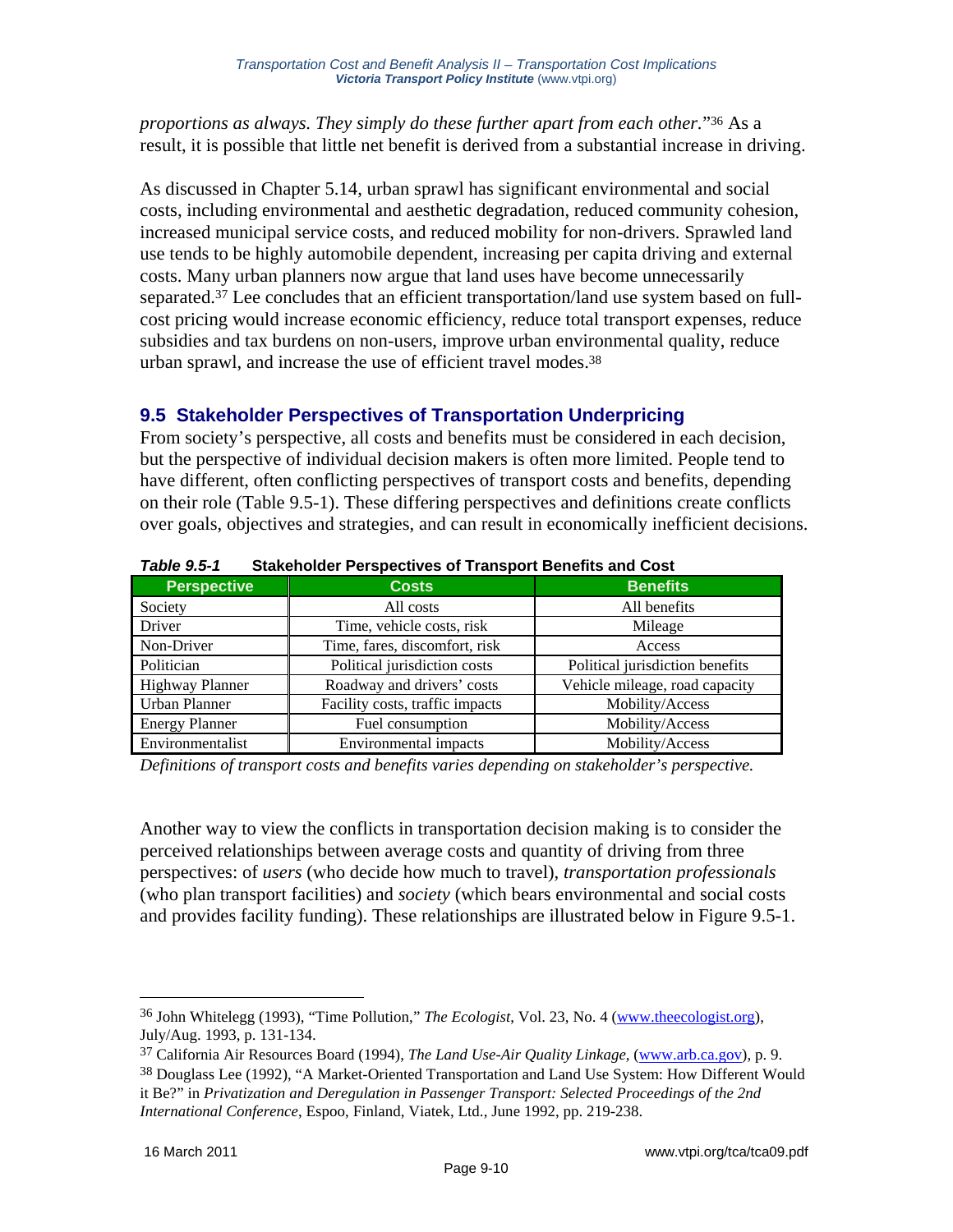*proportions as always. They simply do these further apart from each other.*"36 As a result, it is possible that little net benefit is derived from a substantial increase in driving.

As discussed in Chapter 5.14, urban sprawl has significant environmental and social costs, including environmental and aesthetic degradation, reduced community cohesion, increased municipal service costs, and reduced mobility for non-drivers. Sprawled land use tends to be highly automobile dependent, increasing per capita driving and external costs. Many urban planners now argue that land uses have become unnecessarily separated.<sup>37</sup> Lee concludes that an efficient transportation/land use system based on fullcost pricing would increase economic efficiency, reduce total transport expenses, reduce subsidies and tax burdens on non-users, improve urban environmental quality, reduce urban sprawl, and increase the use of efficient travel modes.38

### **9.5 Stakeholder Perspectives of Transportation Underpricing**

From society's perspective, all costs and benefits must be considered in each decision, but the perspective of individual decision makers is often more limited. People tend to have different, often conflicting perspectives of transport costs and benefits, depending on their role (Table 9.5-1). These differing perspectives and definitions create conflicts over goals, objectives and strategies, and can result in economically inefficient decisions.

| <b>Perspective</b>     | <b>Costs</b>                    | <b>Benefits</b>                 |  |  |
|------------------------|---------------------------------|---------------------------------|--|--|
| Society                | All costs                       | All benefits                    |  |  |
| Driver                 | Time, vehicle costs, risk       | Mileage                         |  |  |
| Non-Driver             | Time, fares, discomfort, risk   | Access                          |  |  |
| Politician             | Political jurisdiction costs    | Political jurisdiction benefits |  |  |
| <b>Highway Planner</b> | Roadway and drivers' costs      | Vehicle mileage, road capacity  |  |  |
| Urban Planner          | Facility costs, traffic impacts | Mobility/Access                 |  |  |
| <b>Energy Planner</b>  | Fuel consumption                | Mobility/Access                 |  |  |
| Environmentalist       | Environmental impacts           | Mobility/Access                 |  |  |

# *Table 9.5-1* **Stakeholder Perspectives of Transport Benefits and Cost**

*Definitions of transport costs and benefits varies depending on stakeholder's perspective.* 

Another way to view the conflicts in transportation decision making is to consider the perceived relationships between average costs and quantity of driving from three perspectives: of *users* (who decide how much to travel), *transportation professionals* (who plan transport facilities) and *society* (which bears environmental and social costs and provides facility funding). These relationships are illustrated below in Figure 9.5-1.

<sup>36</sup> John Whitelegg (1993), "Time Pollution," *The Ecologist*, Vol. 23, No. 4 (www.theecologist.org), July/Aug. 1993, p. 131-134.

<sup>37</sup> California Air Resources Board (1994), *The Land Use-Air Quality Linkage*, (www.arb.ca.gov), p. 9.

<sup>38</sup> Douglass Lee (1992), "A Market-Oriented Transportation and Land Use System: How Different Would it Be?" in *Privatization and Deregulation in Passenger Transport: Selected Proceedings of the 2nd International Conference*, Espoo, Finland, Viatek, Ltd., June 1992, pp. 219-238.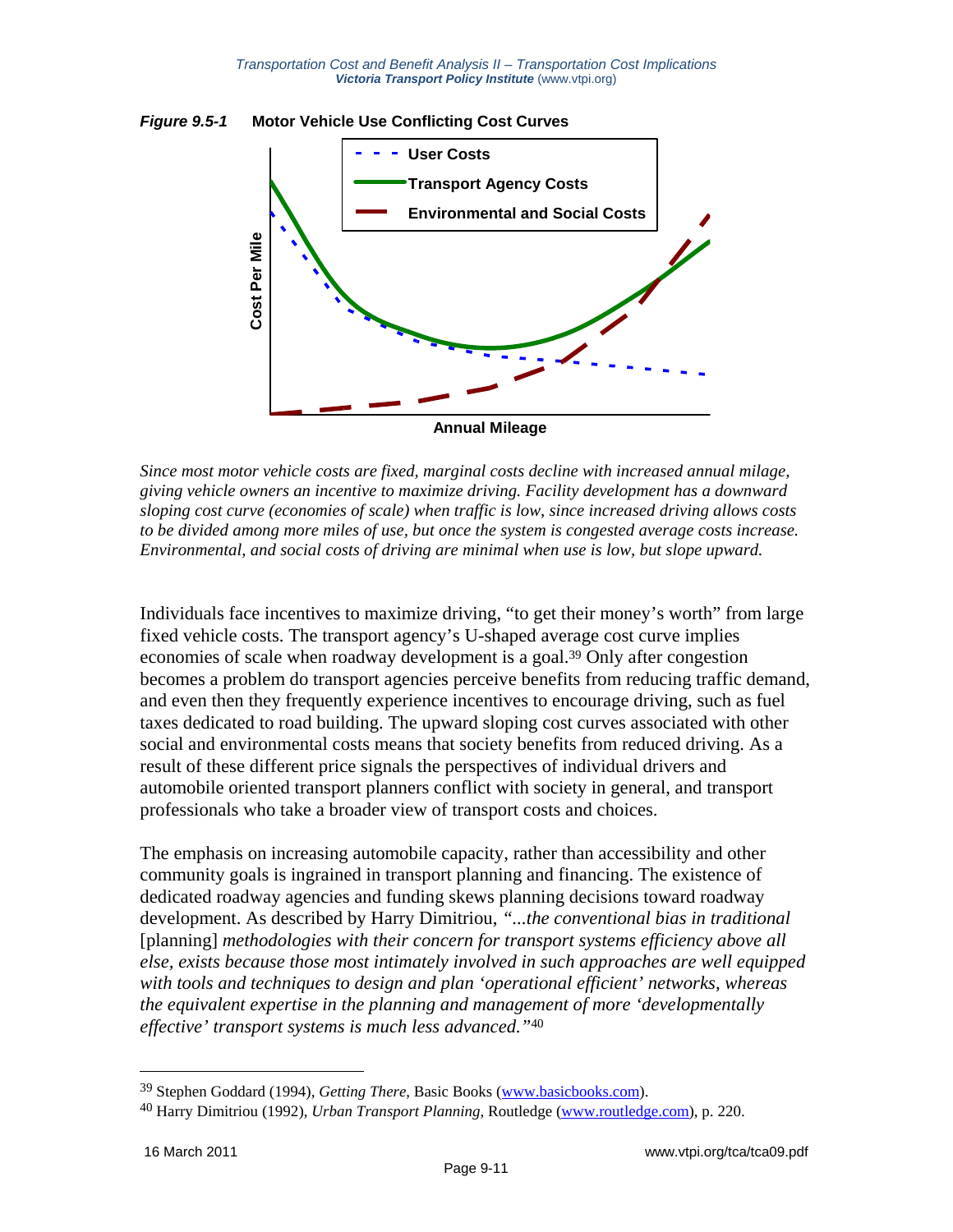



*Since most motor vehicle costs are fixed, marginal costs decline with increased annual milage, giving vehicle owners an incentive to maximize driving. Facility development has a downward sloping cost curve (economies of scale) when traffic is low, since increased driving allows costs to be divided among more miles of use, but once the system is congested average costs increase. Environmental, and social costs of driving are minimal when use is low, but slope upward.* 

Individuals face incentives to maximize driving, "to get their money's worth" from large fixed vehicle costs. The transport agency's U-shaped average cost curve implies economies of scale when roadway development is a goal.39 Only after congestion becomes a problem do transport agencies perceive benefits from reducing traffic demand, and even then they frequently experience incentives to encourage driving, such as fuel taxes dedicated to road building. The upward sloping cost curves associated with other social and environmental costs means that society benefits from reduced driving. As a result of these different price signals the perspectives of individual drivers and automobile oriented transport planners conflict with society in general, and transport professionals who take a broader view of transport costs and choices.

The emphasis on increasing automobile capacity, rather than accessibility and other community goals is ingrained in transport planning and financing. The existence of dedicated roadway agencies and funding skews planning decisions toward roadway development. As described by Harry Dimitriou, *"...the conventional bias in traditional*  [planning] *methodologies with their concern for transport systems efficiency above all else, exists because those most intimately involved in such approaches are well equipped with tools and techniques to design and plan 'operational efficient' networks, whereas the equivalent expertise in the planning and management of more 'developmentally effective' transport systems is much less advanced."*<sup>40</sup>

<sup>39</sup> Stephen Goddard (1994), *Getting There*, Basic Books (www.basicbooks.com).

<sup>40</sup> Harry Dimitriou (1992), *Urban Transport Planning*, Routledge (www.routledge.com), p. 220.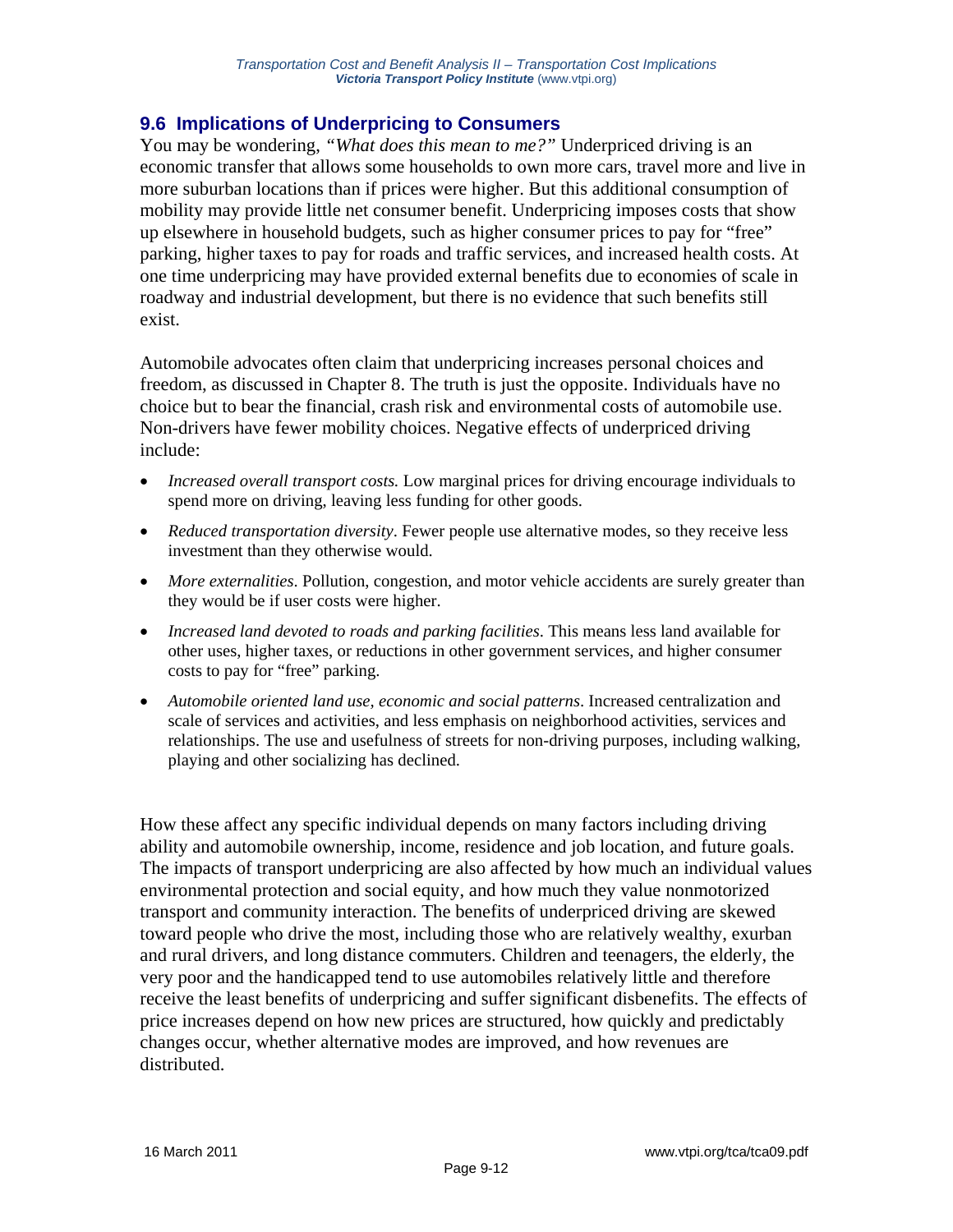### **9.6 Implications of Underpricing to Consumers**

You may be wondering, "What does this mean to me?" Underpriced driving is an economic transfer that allows some households to own more cars, travel more and live in more suburban locations than if prices were higher. But this additional consumption of mobility may provide little net consumer benefit. Underpricing imposes costs that show up elsewhere in household budgets, such as higher consumer prices to pay for "free" parking, higher taxes to pay for roads and traffic services, and increased health costs. At one time underpricing may have provided external benefits due to economies of scale in roadway and industrial development, but there is no evidence that such benefits still exist.

Automobile advocates often claim that underpricing increases personal choices and freedom, as discussed in Chapter 8. The truth is just the opposite. Individuals have no choice but to bear the financial, crash risk and environmental costs of automobile use. Non-drivers have fewer mobility choices. Negative effects of underpriced driving include:

- *Increased overall transport costs.* Low marginal prices for driving encourage individuals to spend more on driving, leaving less funding for other goods.
- *Reduced transportation diversity*. Fewer people use alternative modes, so they receive less investment than they otherwise would.
- *More externalities*. Pollution, congestion, and motor vehicle accidents are surely greater than they would be if user costs were higher.
- *Increased land devoted to roads and parking facilities*. This means less land available for other uses, higher taxes, or reductions in other government services, and higher consumer costs to pay for "free" parking.
- *Automobile oriented land use, economic and social patterns*. Increased centralization and scale of services and activities, and less emphasis on neighborhood activities, services and relationships. The use and usefulness of streets for non-driving purposes, including walking, playing and other socializing has declined.

How these affect any specific individual depends on many factors including driving ability and automobile ownership, income, residence and job location, and future goals. The impacts of transport underpricing are also affected by how much an individual values environmental protection and social equity, and how much they value nonmotorized transport and community interaction. The benefits of underpriced driving are skewed toward people who drive the most, including those who are relatively wealthy, exurban and rural drivers, and long distance commuters. Children and teenagers, the elderly, the very poor and the handicapped tend to use automobiles relatively little and therefore receive the least benefits of underpricing and suffer significant disbenefits. The effects of price increases depend on how new prices are structured, how quickly and predictably changes occur, whether alternative modes are improved, and how revenues are distributed.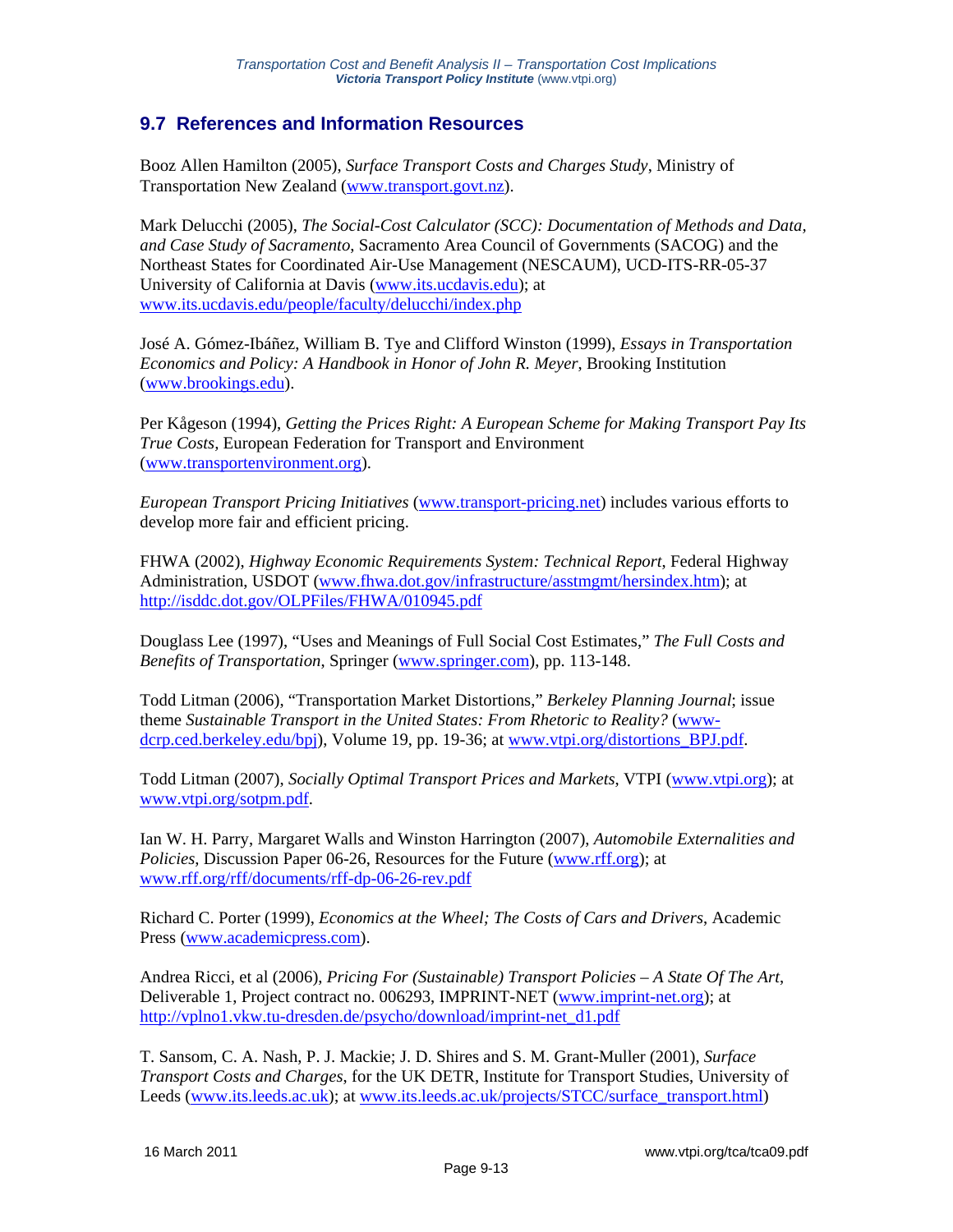### **9.7 References and Information Resources**

Booz Allen Hamilton (2005), *Surface Transport Costs and Charges Study*, Ministry of Transportation New Zealand (www.transport.govt.nz).

Mark Delucchi (2005), *The Social-Cost Calculator (SCC): Documentation of Methods and Data, and Case Study of Sacramento*, Sacramento Area Council of Governments (SACOG) and the Northeast States for Coordinated Air-Use Management (NESCAUM), UCD-ITS-RR-05-37 University of California at Davis (www.its.ucdavis.edu); at www.its.ucdavis.edu/people/faculty/delucchi/index.php

José A. Gómez-Ibáñez, William B. Tye and Clifford Winston (1999), *Essays in Transportation Economics and Policy: A Handbook in Honor of John R. Meyer*, Brooking Institution (www.brookings.edu).

Per Kågeson (1994), *Getting the Prices Right: A European Scheme for Making Transport Pay Its True Costs,* European Federation for Transport and Environment (www.transportenvironment.org).

*European Transport Pricing Initiatives* (www.transport-pricing.net) includes various efforts to develop more fair and efficient pricing.

FHWA (2002), *Highway Economic Requirements System: Technical Report*, Federal Highway Administration, USDOT (www.fhwa.dot.gov/infrastructure/asstmgmt/hersindex.htm); at http://isddc.dot.gov/OLPFiles/FHWA/010945.pdf

Douglass Lee (1997), "Uses and Meanings of Full Social Cost Estimates," *The Full Costs and Benefits of Transportation*, Springer (www.springer.com), pp. 113-148.

Todd Litman (2006), "Transportation Market Distortions," *Berkeley Planning Journal*; issue theme *Sustainable Transport in the United States: From Rhetoric to Reality?* (wwwdcrp.ced.berkeley.edu/bpj), Volume 19, pp. 19-36; at www.vtpi.org/distortions BPJ.pdf.

Todd Litman (2007), *Socially Optimal Transport Prices and Markets*, VTPI (www.vtpi.org); at www.vtpi.org/sotpm.pdf.

Ian W. H. Parry, Margaret Walls and Winston Harrington (2007), *Automobile Externalities and Policies*, Discussion Paper 06-26, Resources for the Future (www.rff.org); at www.rff.org/rff/documents/rff-dp-06-26-rev.pdf

Richard C. Porter (1999), *Economics at the Wheel; The Costs of Cars and Drivers*, Academic Press (www.academicpress.com).

Andrea Ricci, et al (2006), *Pricing For (Sustainable) Transport Policies – A State Of The Art*, Deliverable 1, Project contract no. 006293, IMPRINT-NET (www.imprint-net.org); at http://vplno1.vkw.tu-dresden.de/psycho/download/imprint-net\_d1.pdf

T. Sansom, C. A. Nash, P. J. Mackie; J. D. Shires and S. M. Grant-Muller (2001), *Surface Transport Costs and Charges*, for the UK DETR, Institute for Transport Studies, University of Leeds (www.its.leeds.ac.uk); at www.its.leeds.ac.uk/projects/STCC/surface\_transport.html)